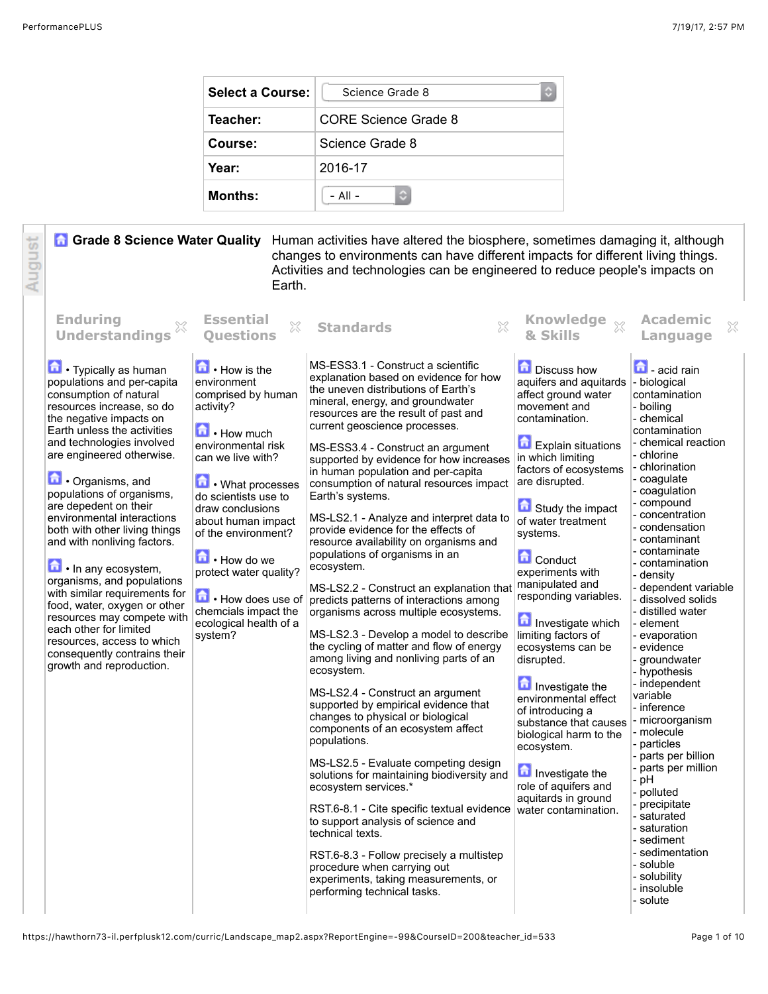| <b>Select a Course:</b> | Science Grade 8      |  |
|-------------------------|----------------------|--|
| Teacher:                | CORE Science Grade 8 |  |
| Course:                 | Science Grade 8      |  |
| Year:                   | 2016-17              |  |
| <b>Months:</b>          | $-$ All $-$          |  |

August **Grade 8 Science Water Quality** Human activities have altered the biosphere, sometimes damaging it, although changes to environments can have different impacts for different living things. Activities and technologies can be engineered to reduce people's impacts on Earth.

| <b>Enduring</b><br>33<br><b>Understandings</b>                                                                                                                                                                                                                                                                                                                                                                                                                                                                                                                                                                                                                                                               | <b>Essential</b><br>$\mathbb{S}^2$<br><b>Ouestions</b>                                                                                                                                                                                                                                                                                                                                 | $\Im$<br><b>Standards</b>                                                                                                                                                                                                                                                                                                                                                                                                                                                                                                                                                                                                                                                                                                                                                                                                                                                                                                                                                                                                                                                                                                                                                                                                                                                                                                                                                                                                     | <b>Knowledge</b><br>$\chi$<br>& Skills                                                                                                                                                                                                                                                                                                                                                                                                                                                                                                                                                                                                       | <b>Academic</b><br>×<br>Language                                                                                                                                                                                                                                                                                                                                                                                                                                                                                                                                                                                                                                                                                                                                       |
|--------------------------------------------------------------------------------------------------------------------------------------------------------------------------------------------------------------------------------------------------------------------------------------------------------------------------------------------------------------------------------------------------------------------------------------------------------------------------------------------------------------------------------------------------------------------------------------------------------------------------------------------------------------------------------------------------------------|----------------------------------------------------------------------------------------------------------------------------------------------------------------------------------------------------------------------------------------------------------------------------------------------------------------------------------------------------------------------------------------|-------------------------------------------------------------------------------------------------------------------------------------------------------------------------------------------------------------------------------------------------------------------------------------------------------------------------------------------------------------------------------------------------------------------------------------------------------------------------------------------------------------------------------------------------------------------------------------------------------------------------------------------------------------------------------------------------------------------------------------------------------------------------------------------------------------------------------------------------------------------------------------------------------------------------------------------------------------------------------------------------------------------------------------------------------------------------------------------------------------------------------------------------------------------------------------------------------------------------------------------------------------------------------------------------------------------------------------------------------------------------------------------------------------------------------|----------------------------------------------------------------------------------------------------------------------------------------------------------------------------------------------------------------------------------------------------------------------------------------------------------------------------------------------------------------------------------------------------------------------------------------------------------------------------------------------------------------------------------------------------------------------------------------------------------------------------------------------|------------------------------------------------------------------------------------------------------------------------------------------------------------------------------------------------------------------------------------------------------------------------------------------------------------------------------------------------------------------------------------------------------------------------------------------------------------------------------------------------------------------------------------------------------------------------------------------------------------------------------------------------------------------------------------------------------------------------------------------------------------------------|
| <b>n</b> Typically as human<br>populations and per-capita<br>consumption of natural<br>resources increase, so do<br>the negative impacts on<br>Earth unless the activities<br>and technologies involved<br>are engineered otherwise.<br><b>n</b> . Organisms, and<br>populations of organisms,<br>are depedent on their<br>environmental interactions<br>both with other living things<br>and with nonliving factors.<br>$\blacksquare$ . In any ecosystem,<br>organisms, and populations<br>with similar requirements for<br>food, water, oxygen or other<br>resources may compete with<br>each other for limited<br>resources, access to which<br>consequently contrains their<br>growth and reproduction. | $\blacksquare$ • How is the<br>environment<br>comprised by human<br>activity?<br><b>h</b> How much<br>environmental risk<br>can we live with?<br>侖<br>• What processes<br>do scientists use to<br>draw conclusions<br>about human impact<br>of the environment?<br>How do we<br>protect water quality?<br>How does use of<br>chemcials impact the<br>ecological health of a<br>system? | MS-ESS3.1 - Construct a scientific<br>explanation based on evidence for how<br>the uneven distributions of Earth's<br>mineral, energy, and groundwater<br>resources are the result of past and<br>current geoscience processes.<br>MS-ESS3.4 - Construct an argument<br>supported by evidence for how increases<br>in human population and per-capita<br>consumption of natural resources impact<br>Earth's systems.<br>MS-LS2.1 - Analyze and interpret data to<br>provide evidence for the effects of<br>resource availability on organisms and<br>populations of organisms in an<br>ecosystem.<br>MS-LS2.2 - Construct an explanation that<br>predicts patterns of interactions among<br>organisms across multiple ecosystems.<br>MS-LS2.3 - Develop a model to describe<br>the cycling of matter and flow of energy<br>among living and nonliving parts of an<br>ecosystem.<br>MS-LS2.4 - Construct an argument<br>supported by empirical evidence that<br>changes to physical or biological<br>components of an ecosystem affect<br>populations.<br>MS-LS2.5 - Evaluate competing design<br>solutions for maintaining biodiversity and<br>ecosystem services.*<br>RST.6-8.1 - Cite specific textual evidence<br>to support analysis of science and<br>technical texts.<br>RST.6-8.3 - Follow precisely a multistep<br>procedure when carrying out<br>experiments, taking measurements, or<br>performing technical tasks. | Discuss how<br>aquifers and aquitards<br>affect ground water<br>movement and<br>contamination.<br><b>Explain situations</b><br>in which limiting<br>factors of ecosystems<br>are disrupted.<br>Study the impact<br>of water treatment<br>systems.<br><b>Conduct</b><br>experiments with<br>manipulated and<br>responding variables.<br>Investigate which<br>limiting factors of<br>ecosystems can be<br>disrupted.<br>Investigate the<br>environmental effect<br>of introducing a<br>substance that causes<br>biological harm to the<br>ecosystem.<br>Investigate the<br>role of aquifers and<br>aquitards in ground<br>water contamination. | <b>n</b> - acid rain<br>- biological<br>contamination<br>- boiling<br>- chemical<br>contamination<br>- chemical reaction<br>- chlorine<br>- chlorination<br>- coaqulate<br>- coagulation<br>- compound<br>- concentration<br>- condensation<br>- contaminant<br>- contaminate<br>- contamination<br>- densitv<br>- dependent variable<br>- dissolved solids<br>- distilled water<br>- element<br>- evaporation<br>- evidence<br>- groundwater<br>- hypothesis<br>- independent<br>variable<br>- inference<br>- microorganism<br>- molecule<br>- particles<br>- parts per billion<br>- parts per million<br>- pH<br>- polluted<br>- precipitate<br>- saturated<br>- saturation<br>- sediment<br>- sedimentation<br>- soluble<br>- solubility<br>- insoluble<br>- solute |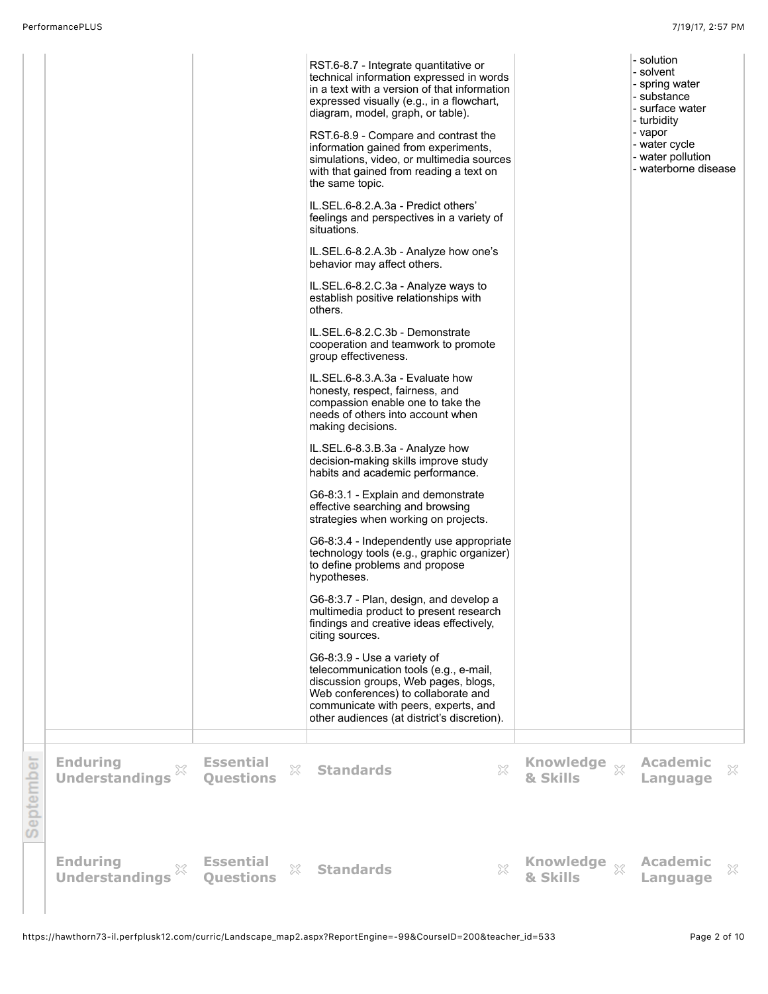|           |                                               |                                           | RST.6-8.7 - Integrate quantitative or<br>technical information expressed in words<br>in a text with a version of that information<br>expressed visually (e.g., in a flowchart,<br>diagram, model, graph, or table).<br>RST.6-8.9 - Compare and contrast the<br>information gained from experiments,<br>simulations, video, or multimedia sources<br>with that gained from reading a text on<br>the same topic.<br>IL.SEL.6-8.2.A.3a - Predict others'<br>feelings and perspectives in a variety of<br>situations.<br>IL.SEL.6-8.2.A.3b - Analyze how one's<br>behavior may affect others.<br>IL.SEL.6-8.2.C.3a - Analyze ways to<br>establish positive relationships with<br>others.<br>IL.SEL.6-8.2.C.3b - Demonstrate<br>cooperation and teamwork to promote<br>group effectiveness.<br>IL.SEL.6-8.3.A.3a - Evaluate how<br>honesty, respect, fairness, and<br>compassion enable one to take the<br>needs of others into account when<br>making decisions.<br>IL.SEL.6-8.3.B.3a - Analyze how<br>decision-making skills improve study<br>habits and academic performance.<br>G6-8:3.1 - Explain and demonstrate<br>effective searching and browsing<br>strategies when working on projects.<br>G6-8:3.4 - Independently use appropriate<br>technology tools (e.g., graphic organizer)<br>to define problems and propose<br>hypotheses.<br>G6-8:3.7 - Plan, design, and develop a<br>multimedia product to present research<br>findings and creative ideas effectively,<br>citing sources.<br>G6-8:3.9 - Use a variety of<br>telecommunication tools (e.g., e-mail,<br>discussion groups, Web pages, blogs,<br>Web conferences) to collaborate and<br>communicate with peers, experts, and<br>other audiences (at district's discretion). |                                        | - solution<br>- solvent<br>- spring water<br>- substance<br>- surface water<br>- turbidity<br>- vapor<br>- water cycle<br>- water pollution<br>- waterborne disease |  |
|-----------|-----------------------------------------------|-------------------------------------------|--------------------------------------------------------------------------------------------------------------------------------------------------------------------------------------------------------------------------------------------------------------------------------------------------------------------------------------------------------------------------------------------------------------------------------------------------------------------------------------------------------------------------------------------------------------------------------------------------------------------------------------------------------------------------------------------------------------------------------------------------------------------------------------------------------------------------------------------------------------------------------------------------------------------------------------------------------------------------------------------------------------------------------------------------------------------------------------------------------------------------------------------------------------------------------------------------------------------------------------------------------------------------------------------------------------------------------------------------------------------------------------------------------------------------------------------------------------------------------------------------------------------------------------------------------------------------------------------------------------------------------------------------------------------------------------------------------------------------------------------|----------------------------------------|---------------------------------------------------------------------------------------------------------------------------------------------------------------------|--|
| September | <b>Enduring</b><br>×<br><b>Understandings</b> | <b>Essential</b><br>X<br><b>Questions</b> | X<br><b>Standards</b>                                                                                                                                                                                                                                                                                                                                                                                                                                                                                                                                                                                                                                                                                                                                                                                                                                                                                                                                                                                                                                                                                                                                                                                                                                                                                                                                                                                                                                                                                                                                                                                                                                                                                                                      | Knowledge xx<br>& Skills               | <b>Academic</b><br>×<br>Language                                                                                                                                    |  |
|           | <b>Enduring</b><br>X<br><b>Understandings</b> | <b>Essential</b><br>X<br><b>Questions</b> | $\mathbb{S}^2$<br><b>Standards</b>                                                                                                                                                                                                                                                                                                                                                                                                                                                                                                                                                                                                                                                                                                                                                                                                                                                                                                                                                                                                                                                                                                                                                                                                                                                                                                                                                                                                                                                                                                                                                                                                                                                                                                         | <b>Knowledge</b><br>$\chi$<br>& Skills | <b>Academic</b><br>×<br>Language                                                                                                                                    |  |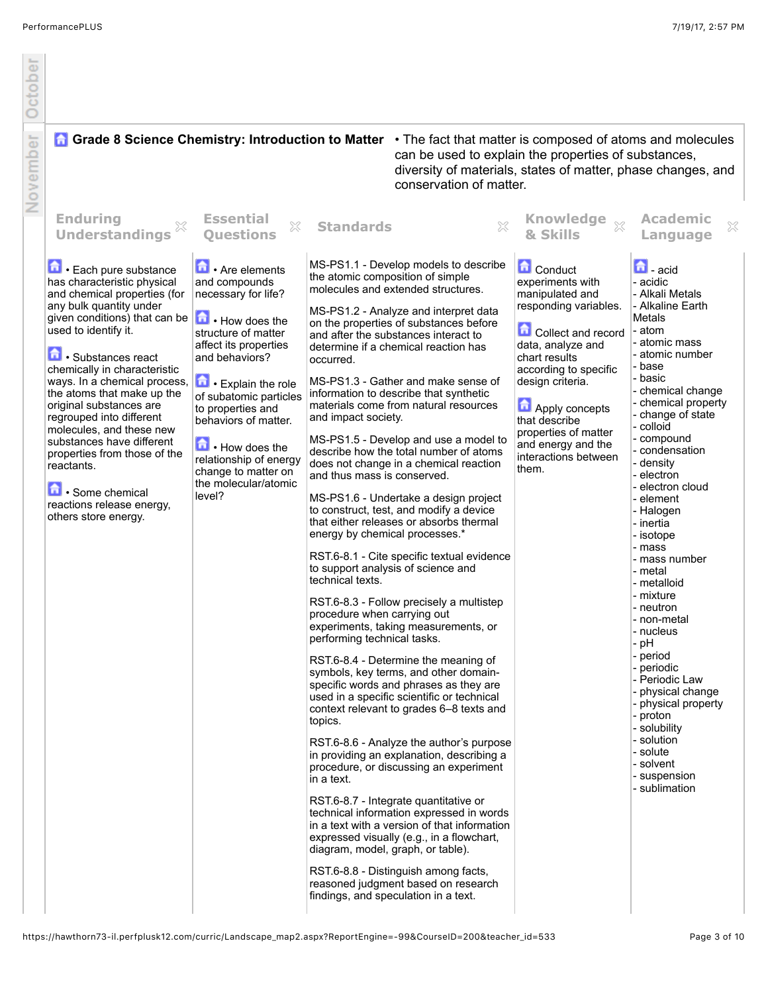| October  |                                                                                                                                                                                                                                                                                                                                                                                                                                                                                                                                           |                                                                                                                                                                                                                                                                                                                                                                         |                                                                                                                                                                                                                                                   |                                                                                                                                                                                                                                                                                                                                                                                                                                                                                                                                                                                                                                                                                                                                                                                                                                                                                                                                                                                                                                                                                                                                                                                                                                                                                                                                                                                                                                                                                                                   |                                                                                                                                                                                                                                                                                                                           |                                                                                                                                                                                                                                                                                                                                                                                                                                                                                                                                                                                                                                                                                     |
|----------|-------------------------------------------------------------------------------------------------------------------------------------------------------------------------------------------------------------------------------------------------------------------------------------------------------------------------------------------------------------------------------------------------------------------------------------------------------------------------------------------------------------------------------------------|-------------------------------------------------------------------------------------------------------------------------------------------------------------------------------------------------------------------------------------------------------------------------------------------------------------------------------------------------------------------------|---------------------------------------------------------------------------------------------------------------------------------------------------------------------------------------------------------------------------------------------------|-------------------------------------------------------------------------------------------------------------------------------------------------------------------------------------------------------------------------------------------------------------------------------------------------------------------------------------------------------------------------------------------------------------------------------------------------------------------------------------------------------------------------------------------------------------------------------------------------------------------------------------------------------------------------------------------------------------------------------------------------------------------------------------------------------------------------------------------------------------------------------------------------------------------------------------------------------------------------------------------------------------------------------------------------------------------------------------------------------------------------------------------------------------------------------------------------------------------------------------------------------------------------------------------------------------------------------------------------------------------------------------------------------------------------------------------------------------------------------------------------------------------|---------------------------------------------------------------------------------------------------------------------------------------------------------------------------------------------------------------------------------------------------------------------------------------------------------------------------|-------------------------------------------------------------------------------------------------------------------------------------------------------------------------------------------------------------------------------------------------------------------------------------------------------------------------------------------------------------------------------------------------------------------------------------------------------------------------------------------------------------------------------------------------------------------------------------------------------------------------------------------------------------------------------------|
| November | <b>A Grade 8 Science Chemistry: Introduction to Matter</b> • The fact that matter is composed of atoms and molecules                                                                                                                                                                                                                                                                                                                                                                                                                      |                                                                                                                                                                                                                                                                                                                                                                         |                                                                                                                                                                                                                                                   | can be used to explain the properties of substances,<br>diversity of materials, states of matter, phase changes, and<br>conservation of matter.                                                                                                                                                                                                                                                                                                                                                                                                                                                                                                                                                                                                                                                                                                                                                                                                                                                                                                                                                                                                                                                                                                                                                                                                                                                                                                                                                                   |                                                                                                                                                                                                                                                                                                                           |                                                                                                                                                                                                                                                                                                                                                                                                                                                                                                                                                                                                                                                                                     |
|          | <b>Enduring</b><br>X<br><b>Understandings</b>                                                                                                                                                                                                                                                                                                                                                                                                                                                                                             | <b>Essential</b><br>×<br><b>Ouestions</b>                                                                                                                                                                                                                                                                                                                               | <b>Standards</b>                                                                                                                                                                                                                                  | $\gtrsim$                                                                                                                                                                                                                                                                                                                                                                                                                                                                                                                                                                                                                                                                                                                                                                                                                                                                                                                                                                                                                                                                                                                                                                                                                                                                                                                                                                                                                                                                                                         | Knowledge xx<br>& Skills                                                                                                                                                                                                                                                                                                  | <b>Academic</b><br>×<br>Language                                                                                                                                                                                                                                                                                                                                                                                                                                                                                                                                                                                                                                                    |
|          | 尙<br>• Each pure substance<br>has characteristic physical<br>and chemical properties (for<br>any bulk quantity under<br>given conditions) that can be<br>used to identify it.<br>Substances react<br>chemically in characteristic<br>ways. In a chemical process,<br>the atoms that make up the<br>original substances are<br>regrouped into different<br>molecules, and these new<br>substances have different<br>properties from those of the<br>reactants.<br>鱼.<br>Some chemical<br>reactions release energy,<br>others store energy. | Are elements<br>and compounds<br>necessary for life?<br>How does the<br>structure of matter<br>affect its properties<br>and behaviors?<br>$\boxed{\bullet}$ • Explain the role<br>of subatomic particles<br>to properties and<br>behaviors of matter.<br>$\blacksquare$ How does the<br>relationship of energy<br>change to matter on<br>the molecular/atomic<br>level? | occurred.<br>and impact society.<br>and thus mass is conserved.<br>energy by chemical processes.*<br>technical texts.<br>procedure when carrying out<br>performing technical tasks.<br>topics.<br>in a text.<br>diagram, model, graph, or table). | MS-PS1.1 - Develop models to describe<br>the atomic composition of simple<br>molecules and extended structures.<br>MS-PS1.2 - Analyze and interpret data<br>on the properties of substances before<br>and after the substances interact to<br>determine if a chemical reaction has<br>MS-PS1.3 - Gather and make sense of<br>information to describe that synthetic<br>materials come from natural resources<br>MS-PS1.5 - Develop and use a model to<br>describe how the total number of atoms<br>does not change in a chemical reaction<br>MS-PS1.6 - Undertake a design project<br>to construct, test, and modify a device<br>that either releases or absorbs thermal<br>RST.6-8.1 - Cite specific textual evidence<br>to support analysis of science and<br>RST.6-8.3 - Follow precisely a multistep<br>experiments, taking measurements, or<br>RST.6-8.4 - Determine the meaning of<br>symbols, key terms, and other domain-<br>specific words and phrases as they are<br>used in a specific scientific or technical<br>context relevant to grades 6-8 texts and<br>RST.6-8.6 - Analyze the author's purpose<br>in providing an explanation, describing a<br>procedure, or discussing an experiment<br>RST.6-8.7 - Integrate quantitative or<br>technical information expressed in words<br>in a text with a version of that information<br>expressed visually (e.g., in a flowchart,<br>RST.6-8.8 - Distinguish among facts,<br>reasoned judgment based on research<br>findings, and speculation in a text. | <b>Conduct</b><br>experiments with<br>manipulated and<br>responding variables.<br><b>Collect and record</b><br>data, analyze and<br>chart results<br>according to specific<br>design criteria.<br><b>D</b> Apply concepts<br>that describe<br>properties of matter<br>and energy and the<br>interactions between<br>them. | $\mathbf{a}$ - acid<br>- acidic<br>- Alkali Metals<br>- Alkaline Earth<br>Metals<br>- atom<br>- atomic mass<br>- atomic number<br>- base<br>- basic<br>- chemical change<br>- chemical property<br>- change of state<br>- colloid<br>- compound<br>- condensation<br>- density<br>- electron<br>- electron cloud<br>- element<br>- Halogen<br>- inertia<br>- isotope<br>- mass<br>- mass number<br>- metal<br>- metalloid<br>- mixture<br>- neutron<br>- non-metal<br>- nucleus<br>- pH<br>- period<br>- periodic<br>- Periodic Law<br>- physical change<br>- physical property<br>- proton<br>- solubility<br>- solution<br>- solute<br>- solvent<br>- suspension<br>- sublimation |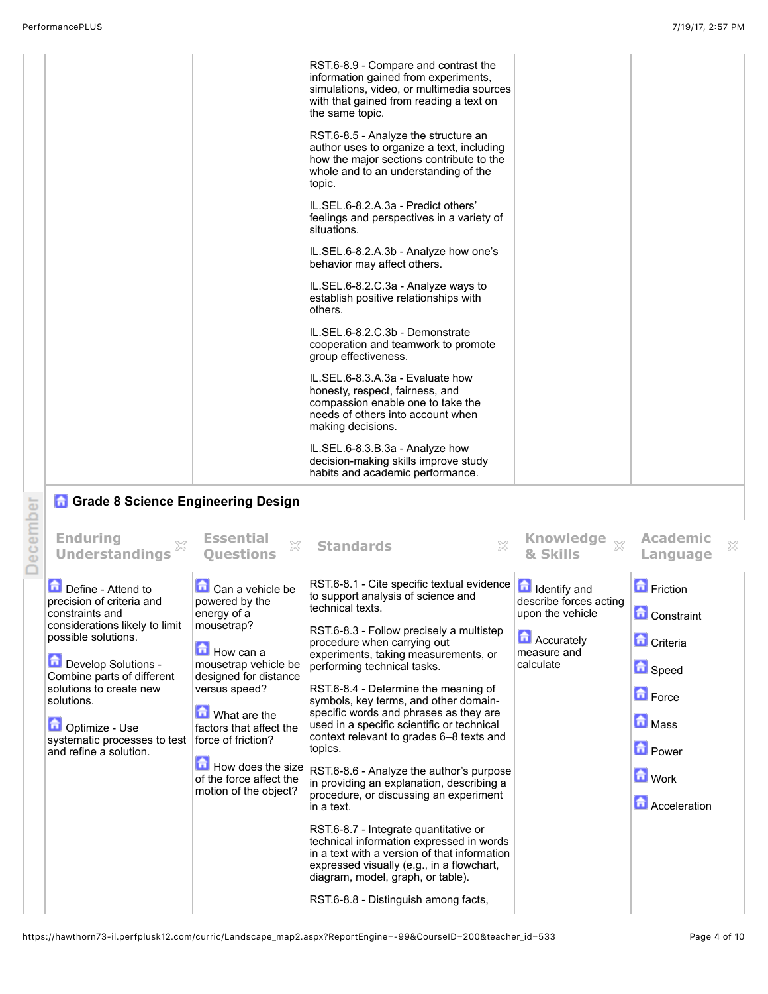|         | PerformancePLUS<br>7/19/17, 2:57 PM                                                                                                 |                                                             |                                                                                                                                                                                                                                                                                |                                                                   |                                      |  |  |
|---------|-------------------------------------------------------------------------------------------------------------------------------------|-------------------------------------------------------------|--------------------------------------------------------------------------------------------------------------------------------------------------------------------------------------------------------------------------------------------------------------------------------|-------------------------------------------------------------------|--------------------------------------|--|--|
|         |                                                                                                                                     |                                                             | RST.6-8.9 - Compare and contrast the<br>information gained from experiments,<br>simulations, video, or multimedia sources<br>with that gained from reading a text on<br>the same topic.                                                                                        |                                                                   |                                      |  |  |
|         |                                                                                                                                     |                                                             | RST.6-8.5 - Analyze the structure an<br>author uses to organize a text, including<br>how the major sections contribute to the<br>whole and to an understanding of the<br>topic.                                                                                                |                                                                   |                                      |  |  |
|         |                                                                                                                                     |                                                             | IL.SEL.6-8.2.A.3a - Predict others'<br>feelings and perspectives in a variety of<br>situations.                                                                                                                                                                                |                                                                   |                                      |  |  |
|         |                                                                                                                                     |                                                             | IL.SEL.6-8.2.A.3b - Analyze how one's<br>behavior may affect others.                                                                                                                                                                                                           |                                                                   |                                      |  |  |
|         |                                                                                                                                     |                                                             | IL.SEL.6-8.2.C.3a - Analyze ways to<br>establish positive relationships with<br>others.                                                                                                                                                                                        |                                                                   |                                      |  |  |
|         |                                                                                                                                     |                                                             | IL.SEL.6-8.2.C.3b - Demonstrate<br>cooperation and teamwork to promote<br>group effectiveness.                                                                                                                                                                                 |                                                                   |                                      |  |  |
|         |                                                                                                                                     |                                                             | IL.SEL.6-8.3.A.3a - Evaluate how<br>honesty, respect, fairness, and<br>compassion enable one to take the<br>needs of others into account when<br>making decisions.                                                                                                             |                                                                   |                                      |  |  |
|         |                                                                                                                                     |                                                             | IL.SEL.6-8.3.B.3a - Analyze how<br>decision-making skills improve study<br>habits and academic performance.                                                                                                                                                                    |                                                                   |                                      |  |  |
|         | <b>n</b> Grade 8 Science Engineering Design                                                                                         |                                                             |                                                                                                                                                                                                                                                                                |                                                                   |                                      |  |  |
| ecember | <b>Enduring</b><br><b>Understandings</b>                                                                                            | <b>Essential</b><br>×<br><b>Ouestions</b>                   | X<br><b>Standards</b>                                                                                                                                                                                                                                                          | Knowledge xx<br>& Skills                                          | <b>Academic</b><br>×<br>Language     |  |  |
|         | Define - Attend to<br>precision of criteria and<br>constraints and                                                                  | <b>Li</b> Can a vehicle be<br>powered by the<br>energy of a | RST.6-8.1 - Cite specific textual evidence<br>to support analysis of science and<br>technical texts.                                                                                                                                                                           | <b>Identify and</b><br>describe forces acting<br>upon the vehicle | <b>Exercise</b><br><b>Constraint</b> |  |  |
|         | considerations likely to limit<br>possible solutions.                                                                               | mousetrap?                                                  | RST.6-8.3 - Follow precisely a multistep                                                                                                                                                                                                                                       | <b>Accurately</b>                                                 |                                      |  |  |
|         | Develop Solutions -                                                                                                                 | How can a<br>mousetrap vehicle be                           | procedure when carrying out<br>experiments, taking measurements, or<br>performing technical tasks.                                                                                                                                                                             | measure and<br>calculate                                          | <b>D</b> Criteria<br><b>B</b> Speed  |  |  |
|         | Combine parts of different<br>solutions to create new<br>solutions.                                                                 | designed for distance<br>versus speed?                      | RST.6-8.4 - Determine the meaning of<br>symbols, key terms, and other domain-                                                                                                                                                                                                  |                                                                   | <b>D</b> Force                       |  |  |
|         | What are the<br>Optimize - Use<br>systematic processes to test<br>force of friction?<br>and refine a solution.<br>How does the size | factors that affect the                                     | specific words and phrases as they are<br>used in a specific scientific or technical<br>context relevant to grades 6-8 texts and<br>topics.<br>RST.6-8.6 - Analyze the author's purpose<br>in providing an explanation, describing a<br>procedure, or discussing an experiment |                                                                   | <b>D</b> Mass                        |  |  |
|         |                                                                                                                                     |                                                             |                                                                                                                                                                                                                                                                                |                                                                   | <b>D</b> Power                       |  |  |
|         |                                                                                                                                     | of the force affect the<br>motion of the object?            |                                                                                                                                                                                                                                                                                |                                                                   | <b>D</b> Work                        |  |  |
|         |                                                                                                                                     |                                                             | in a text.                                                                                                                                                                                                                                                                     |                                                                   | <b>Acceleration</b>                  |  |  |

RST.6-8.7 - Integrate quantitative or technical information expressed in words in a text with a version of that information expressed visually (e.g., in a flowchart, diagram, model, graph, or table).

RST.6-8.8 - Distinguish among facts,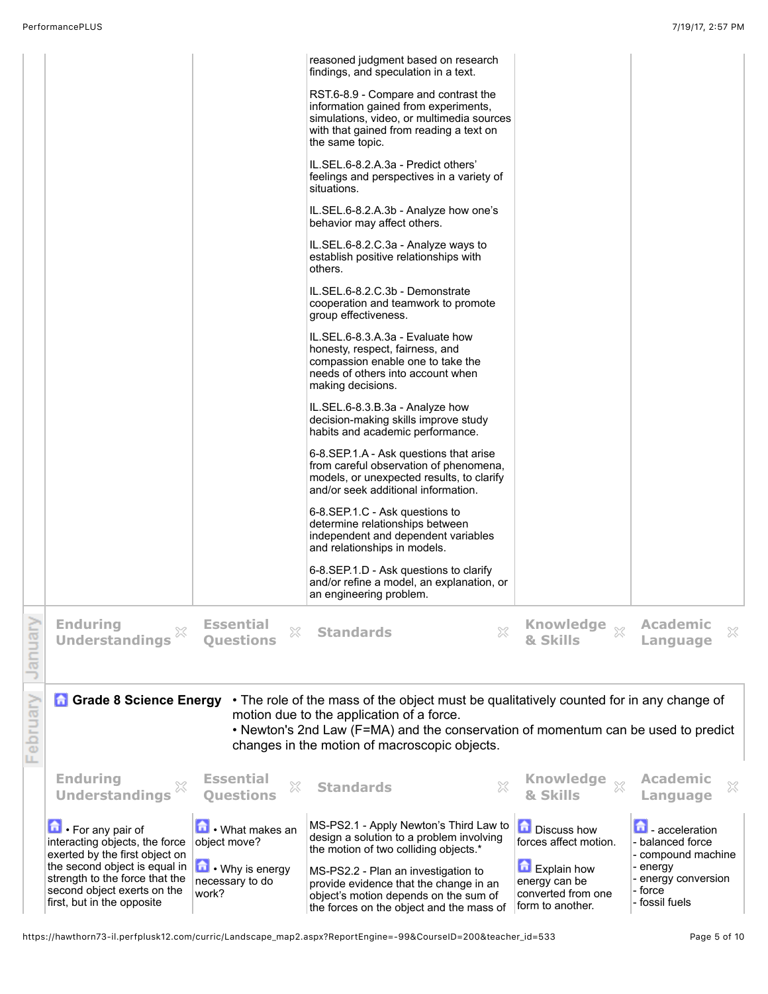| interacting objects, the force<br>exerted by the first object on<br>the second object is equal in $ $<br>strength to the force that the<br>second object exerts on the<br>first, but in the opposite | object move?<br>$\blacksquare \cdot$ Why is energy<br>necessary to do<br>work? | design a solution to a problem involving<br>the motion of two colliding objects.*<br>MS-PS2.2 - Plan an investigation to<br>provide evidence that the change in an<br>object's motion depends on the sum of<br>the forces on the object and the mass of                    | forces affect motion.<br>Explain how<br>energy can be<br>converted from one<br>form to another. | - balanced force<br>- compound machine<br>- energy<br>- energy conversion<br>- force<br>- fossil fuels |  |
|------------------------------------------------------------------------------------------------------------------------------------------------------------------------------------------------------|--------------------------------------------------------------------------------|----------------------------------------------------------------------------------------------------------------------------------------------------------------------------------------------------------------------------------------------------------------------------|-------------------------------------------------------------------------------------------------|--------------------------------------------------------------------------------------------------------|--|
| <b>Understandings</b><br>命<br>• For any pair of                                                                                                                                                      | ×<br><b>Questions</b><br>What makes an                                         | X<br><b>Standards</b><br>MS-PS2.1 - Apply Newton's Third Law to                                                                                                                                                                                                            | & Skills<br>Discuss how                                                                         | ×<br>Language<br>崮<br>- acceleration                                                                   |  |
| <b>A</b> Grade 8 Science Energy<br><b>Enduring</b>                                                                                                                                                   | <b>Essential</b>                                                               | • The role of the mass of the object must be qualitatively counted for in any change of<br>motion due to the application of a force.<br>• Newton's 2nd Law (F=MA) and the conservation of momentum can be used to predict<br>changes in the motion of macroscopic objects. |                                                                                                 | <b>Academic</b>                                                                                        |  |
| <b>Enduring</b><br><b>Understandings</b>                                                                                                                                                             | <b>Essential</b><br>X<br><b>Ouestions</b>                                      | $\mathbb{X}$<br><b>Standards</b>                                                                                                                                                                                                                                           | <b>Knowledge</b><br>$\chi$<br>& Skills                                                          | <b>Academic</b><br>X<br>Language                                                                       |  |
|                                                                                                                                                                                                      |                                                                                | 6-8.SEP.1.D - Ask questions to clarify<br>and/or refine a model, an explanation, or<br>an engineering problem.                                                                                                                                                             |                                                                                                 |                                                                                                        |  |
|                                                                                                                                                                                                      |                                                                                | 6-8.SEP.1.C - Ask questions to<br>determine relationships between<br>independent and dependent variables<br>and relationships in models.                                                                                                                                   |                                                                                                 |                                                                                                        |  |
|                                                                                                                                                                                                      |                                                                                | 6-8.SEP.1.A - Ask questions that arise<br>from careful observation of phenomena,<br>models, or unexpected results, to clarify<br>and/or seek additional information.                                                                                                       |                                                                                                 |                                                                                                        |  |
|                                                                                                                                                                                                      |                                                                                | IL.SEL.6-8.3.B.3a - Analyze how<br>decision-making skills improve study<br>habits and academic performance.                                                                                                                                                                |                                                                                                 |                                                                                                        |  |
|                                                                                                                                                                                                      |                                                                                | IL.SEL.6-8.3.A.3a - Evaluate how<br>honesty, respect, fairness, and<br>compassion enable one to take the<br>needs of others into account when<br>making decisions.                                                                                                         |                                                                                                 |                                                                                                        |  |
|                                                                                                                                                                                                      |                                                                                | IL.SEL.6-8.2.C.3b - Demonstrate<br>cooperation and teamwork to promote<br>group effectiveness.                                                                                                                                                                             |                                                                                                 |                                                                                                        |  |
|                                                                                                                                                                                                      |                                                                                | IL.SEL.6-8.2.C.3a - Analyze ways to<br>establish positive relationships with<br>others.                                                                                                                                                                                    |                                                                                                 |                                                                                                        |  |
|                                                                                                                                                                                                      |                                                                                | situations.<br>IL.SEL.6-8.2.A.3b - Analyze how one's<br>behavior may affect others.                                                                                                                                                                                        |                                                                                                 |                                                                                                        |  |
|                                                                                                                                                                                                      |                                                                                | the same topic.<br>IL.SEL.6-8.2.A.3a - Predict others'<br>feelings and perspectives in a variety of                                                                                                                                                                        |                                                                                                 |                                                                                                        |  |
|                                                                                                                                                                                                      |                                                                                | RST.6-8.9 - Compare and contrast the<br>information gained from experiments,<br>simulations, video, or multimedia sources<br>with that gained from reading a text on                                                                                                       |                                                                                                 |                                                                                                        |  |
|                                                                                                                                                                                                      |                                                                                | reasoned judgment based on research<br>findings, and speculation in a text.                                                                                                                                                                                                |                                                                                                 |                                                                                                        |  |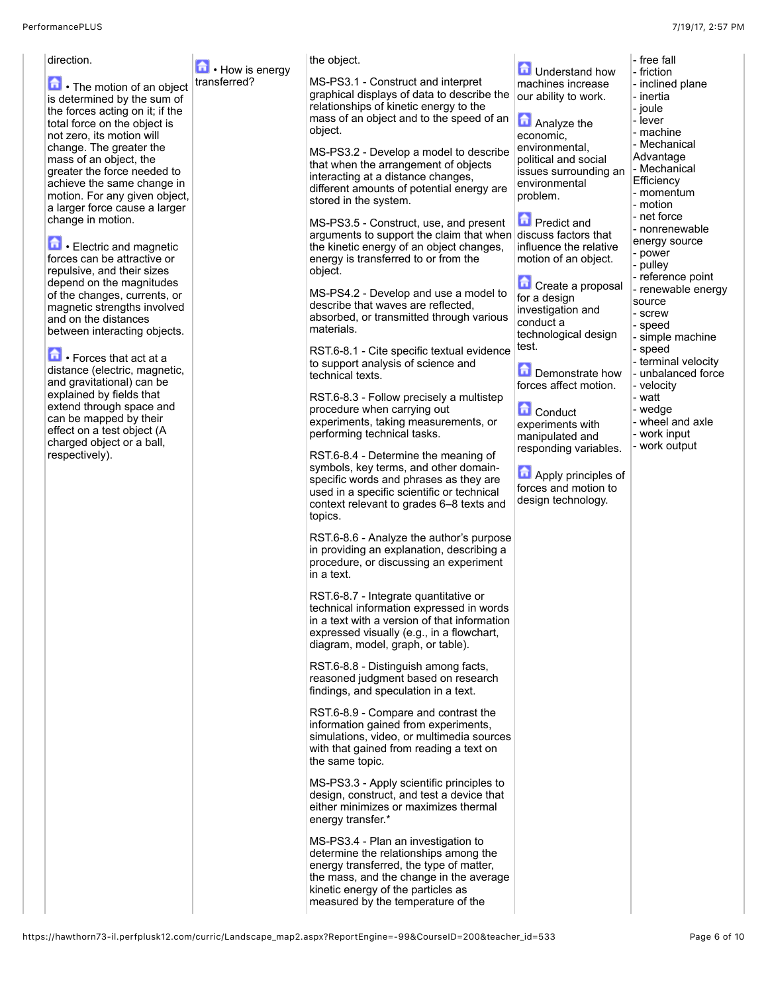| direction.                                                                                                                                                                       | • How is energy | the object.                                                                                                                                                                                                                                    | <b>D</b> Understand how                                                                              | - free fall<br>- friction                                                                                                                                                       |
|----------------------------------------------------------------------------------------------------------------------------------------------------------------------------------|-----------------|------------------------------------------------------------------------------------------------------------------------------------------------------------------------------------------------------------------------------------------------|------------------------------------------------------------------------------------------------------|---------------------------------------------------------------------------------------------------------------------------------------------------------------------------------|
| The motion of an object<br>is determined by the sum of<br>the forces acting on it; if the<br>total force on the object is<br>not zero, its motion will                           | transferred?    | MS-PS3.1 - Construct and interpret<br>graphical displays of data to describe the<br>relationships of kinetic energy to the<br>mass of an object and to the speed of an<br>object.                                                              | machines increase<br>our ability to work.<br><b>Analyze the</b><br>economic.                         | - inclined plane<br>- inertia<br>- joule<br>- lever<br>- machine                                                                                                                |
| change. The greater the<br>mass of an object, the<br>greater the force needed to<br>achieve the same change in<br>motion. For any given object,<br>a larger force cause a larger |                 | MS-PS3.2 - Develop a model to describe<br>that when the arrangement of objects<br>interacting at a distance changes,<br>different amounts of potential energy are<br>stored in the system.                                                     | environmental,<br>political and social<br>issues surrounding an<br>environmental<br>problem.         | - Mechanical<br>Advantage<br>- Mechanical<br>Efficiency<br>- momentum<br>- motion                                                                                               |
| change in motion.<br>Electric and magnetic<br>forces can be attractive or<br>repulsive, and their sizes<br>depend on the magnitudes                                              |                 | MS-PS3.5 - Construct, use, and present<br>arguments to support the claim that when<br>the kinetic energy of an object changes,<br>energy is transferred to or from the<br>object.                                                              | <b>D</b> Predict and<br>discuss factors that<br>influence the relative<br>motion of an object.       | - net force<br>- nonrenewable<br>energy source<br>- power<br>- pulley<br>- reference point<br>- renewable energy<br>source<br>- screw<br>- speed<br>- simple machine<br>- speed |
| of the changes, currents, or<br>magnetic strengths involved<br>and on the distances<br>between interacting objects.                                                              |                 | MS-PS4.2 - Develop and use a model to<br>describe that waves are reflected,<br>absorbed, or transmitted through various<br>materials.<br>RST.6-8.1 - Cite specific textual evidence                                                            | Create a proposal<br>for a design<br>investigation and<br>conduct a<br>technological design<br>test. |                                                                                                                                                                                 |
| Forces that act at a<br>distance (electric, magnetic,<br>and gravitational) can be<br>explained by fields that                                                                   |                 | to support analysis of science and<br>technical texts.<br>RST.6-8.3 - Follow precisely a multistep                                                                                                                                             | Demonstrate how<br>forces affect motion.                                                             | - terminal velocity<br>- unbalanced force<br>- velocity<br>- watt                                                                                                               |
| extend through space and<br>can be mapped by their<br>effect on a test object (A<br>charged object or a ball,<br>respectively).                                                  |                 | procedure when carrying out<br>experiments, taking measurements, or<br>performing technical tasks.<br>RST.6-8.4 - Determine the meaning of                                                                                                     | <b>n</b> Conduct<br>experiments with<br>manipulated and<br>responding variables.                     | - wedge<br>- wheel and axle<br>- work input<br>- work output                                                                                                                    |
|                                                                                                                                                                                  |                 | symbols, key terms, and other domain-<br>specific words and phrases as they are<br>used in a specific scientific or technical<br>context relevant to grades 6-8 texts and<br>topics.                                                           | Apply principles of<br>forces and motion to<br>design technology.                                    |                                                                                                                                                                                 |
|                                                                                                                                                                                  |                 | RST.6-8.6 - Analyze the author's purpose<br>in providing an explanation, describing a<br>procedure, or discussing an experiment<br>in a text.                                                                                                  |                                                                                                      |                                                                                                                                                                                 |
|                                                                                                                                                                                  |                 | RST.6-8.7 - Integrate quantitative or<br>technical information expressed in words<br>in a text with a version of that information<br>expressed visually (e.g., in a flowchart,<br>diagram, model, graph, or table).                            |                                                                                                      |                                                                                                                                                                                 |
|                                                                                                                                                                                  |                 | RST.6-8.8 - Distinguish among facts,<br>reasoned judgment based on research<br>findings, and speculation in a text.                                                                                                                            |                                                                                                      |                                                                                                                                                                                 |
|                                                                                                                                                                                  |                 | RST.6-8.9 - Compare and contrast the<br>information gained from experiments,<br>simulations, video, or multimedia sources<br>with that gained from reading a text on<br>the same topic.                                                        |                                                                                                      |                                                                                                                                                                                 |
|                                                                                                                                                                                  |                 | MS-PS3.3 - Apply scientific principles to<br>design, construct, and test a device that<br>either minimizes or maximizes thermal<br>energy transfer.*                                                                                           |                                                                                                      |                                                                                                                                                                                 |
|                                                                                                                                                                                  |                 | MS-PS3.4 - Plan an investigation to<br>determine the relationships among the<br>energy transferred, the type of matter,<br>the mass, and the change in the average<br>kinetic energy of the particles as<br>measured by the temperature of the |                                                                                                      |                                                                                                                                                                                 |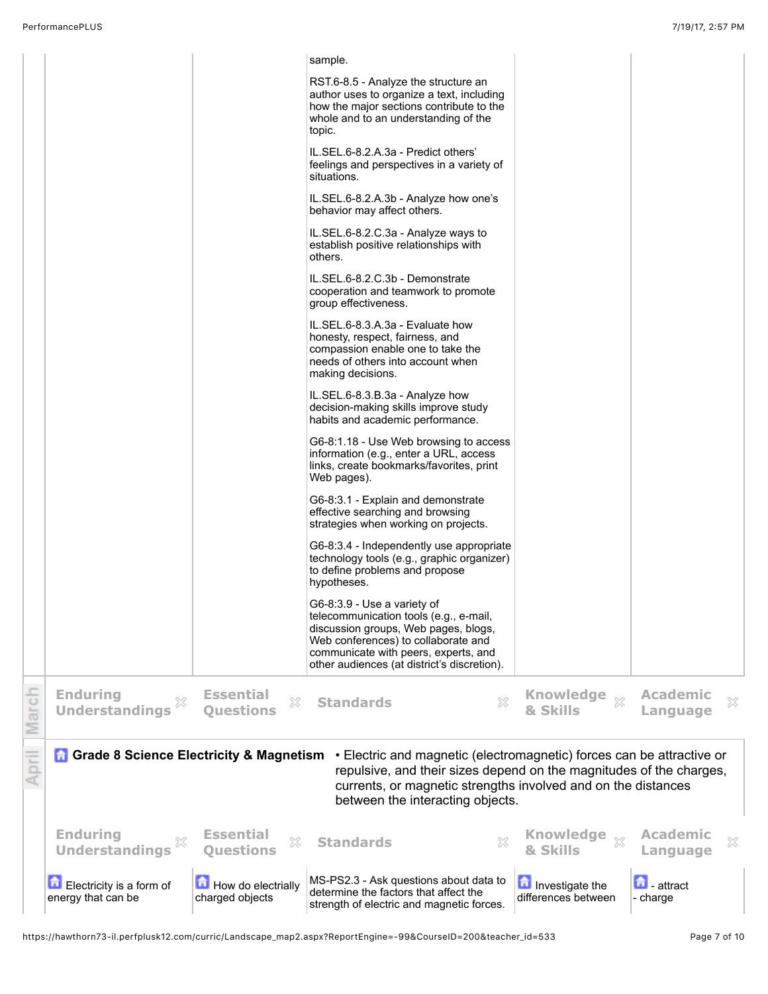|              |                                                  |                                           | sample.                                                                                                                                                                                                                                           |                                        |                                  |
|--------------|--------------------------------------------------|-------------------------------------------|---------------------------------------------------------------------------------------------------------------------------------------------------------------------------------------------------------------------------------------------------|----------------------------------------|----------------------------------|
|              |                                                  |                                           | RST.6-8.5 - Analyze the structure an<br>author uses to organize a text, including<br>how the major sections contribute to the<br>whole and to an understanding of the<br>topic.                                                                   |                                        |                                  |
|              |                                                  |                                           | IL.SEL.6-8.2.A.3a - Predict others'<br>feelings and perspectives in a variety of<br>situations.                                                                                                                                                   |                                        |                                  |
|              |                                                  |                                           | IL.SEL.6-8.2.A.3b - Analyze how one's<br>behavior may affect others.                                                                                                                                                                              |                                        |                                  |
|              |                                                  |                                           | IL.SEL.6-8.2.C.3a - Analyze ways to<br>establish positive relationships with<br>others.                                                                                                                                                           |                                        |                                  |
|              |                                                  |                                           | IL.SEL.6-8.2.C.3b - Demonstrate<br>cooperation and teamwork to promote<br>group effectiveness.                                                                                                                                                    |                                        |                                  |
|              |                                                  |                                           | IL.SEL.6-8.3.A.3a - Evaluate how<br>honesty, respect, fairness, and<br>compassion enable one to take the<br>needs of others into account when<br>making decisions.                                                                                |                                        |                                  |
|              |                                                  |                                           | IL.SEL.6-8.3.B.3a - Analyze how<br>decision-making skills improve study<br>habits and academic performance.                                                                                                                                       |                                        |                                  |
|              |                                                  |                                           | G6-8:1.18 - Use Web browsing to access<br>information (e.g., enter a URL, access<br>links, create bookmarks/favorites, print<br>Web pages).                                                                                                       |                                        |                                  |
|              |                                                  |                                           | G6-8:3.1 - Explain and demonstrate<br>effective searching and browsing<br>strategies when working on projects.                                                                                                                                    |                                        |                                  |
|              |                                                  |                                           | G6-8:3.4 - Independently use appropriate<br>technology tools (e.g., graphic organizer)<br>to define problems and propose<br>hypotheses.                                                                                                           |                                        |                                  |
|              |                                                  |                                           | G6-8:3.9 - Use a variety of<br>telecommunication tools (e.g., e-mail,<br>discussion groups, Web pages, blogs,<br>Web conferences) to collaborate and<br>communicate with peers, experts, and<br>other audiences (at district's discretion).       |                                        |                                  |
| March        | <b>Enduring</b><br><b>Understandings</b>         | <b>Essential</b><br>X<br><b>Questions</b> | $\mathbb{Z}^2$<br><b>Standards</b>                                                                                                                                                                                                                | <b>Knowledge</b><br>$\chi$<br>& Skills | <b>Academic</b><br>X<br>Language |
| <b>April</b> | <b>n</b> Grade 8 Science Electricity & Magnetism |                                           | • Electric and magnetic (electromagnetic) forces can be attractive or<br>repulsive, and their sizes depend on the magnitudes of the charges,<br>currents, or magnetic strengths involved and on the distances<br>between the interacting objects. |                                        |                                  |
|              | <b>Enduring</b><br><b>Understandings</b>         | <b>Essential</b><br>×<br><b>Questions</b> | X<br><b>Standards</b>                                                                                                                                                                                                                             | <b>Knowledge</b><br>$\chi$<br>& Skills | <b>Academic</b><br>×<br>Language |
|              | Electricity is a form of<br>energy that can be   | How do electrially<br>charged objects     | MS-PS2.3 - Ask questions about data to<br>determine the factors that affect the<br>strength of electric and magnetic forces.                                                                                                                      | Investigate the<br>differences between | $\Box$ - attract<br>- charge     |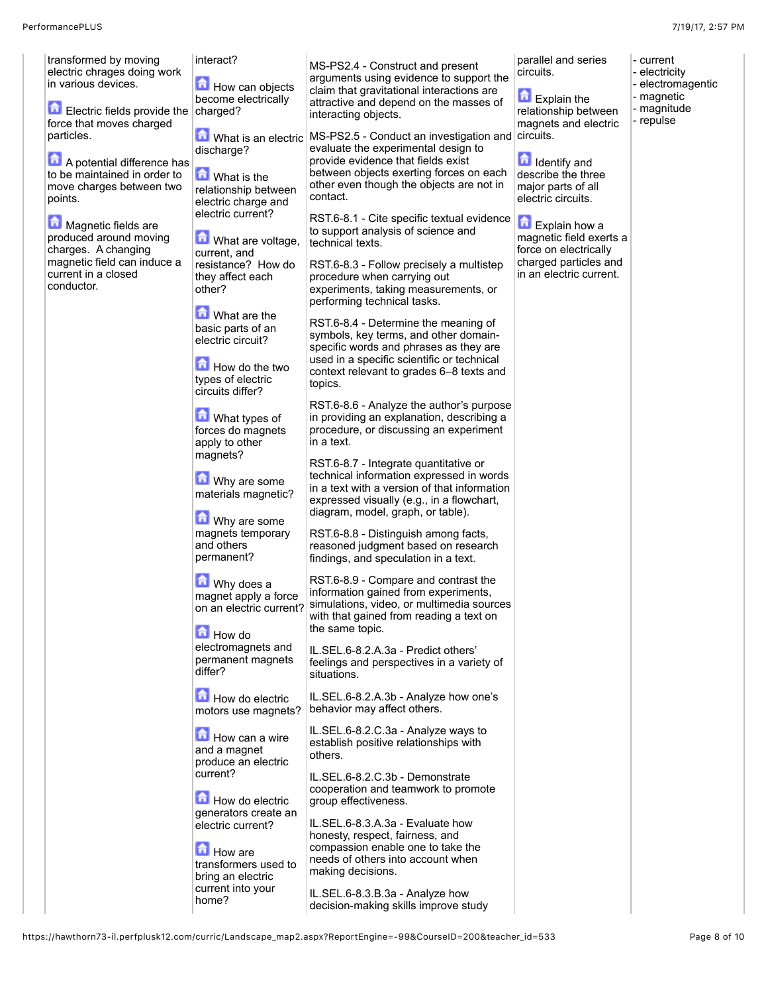$\vert$ - current - electricity - electromagentic - magnetic - magnitude - repulse

| transformed by moving<br>electric chrages doing work<br>in various devices. | interact?<br>How can objects<br>become electrically                                                  | MS-PS2.4 - Construct and present<br>arguments using evidence to support the<br>claim that gravitational interactions are<br>attractive and depend on the masses of                                                  | parallel and series<br>circuits.<br>Explain the                        |
|-----------------------------------------------------------------------------|------------------------------------------------------------------------------------------------------|---------------------------------------------------------------------------------------------------------------------------------------------------------------------------------------------------------------------|------------------------------------------------------------------------|
| Electric fields provide the<br>force that moves charged                     | charged?                                                                                             | interacting objects.                                                                                                                                                                                                | relationship between<br>magnets and electric                           |
| particles.<br>A potential difference has<br>to be maintained in order to    | What is an electric<br>discharge?<br>What is the                                                     | MS-PS2.5 - Conduct an investigation and circuits.<br>evaluate the experimental design to<br>provide evidence that fields exist<br>between objects exerting forces on each                                           | 击<br>Identify and<br>describe the three                                |
| move charges between two<br>points.                                         | relationship between<br>electric charge and<br>electric current?                                     | other even though the objects are not in<br>contact.                                                                                                                                                                | major parts of all<br>electric circuits.                               |
| Magnetic fields are<br>produced around moving<br>charges. A changing        | 奇<br>What are voltage,<br>current, and                                                               | RST.6-8.1 - Cite specific textual evidence<br>to support analysis of science and<br>technical texts.                                                                                                                | 鱼<br>Explain how a<br>magnetic field exerts a<br>force on electrically |
| magnetic field can induce a<br>current in a closed<br>conductor.            | resistance? How do<br>they affect each<br>other?                                                     | RST.6-8.3 - Follow precisely a multistep<br>procedure when carrying out<br>experiments, taking measurements, or<br>performing technical tasks.                                                                      | charged particles and<br>in an electric current.                       |
|                                                                             | What are the<br>basic parts of an<br>electric circuit?                                               | RST.6-8.4 - Determine the meaning of<br>symbols, key terms, and other domain-<br>specific words and phrases as they are                                                                                             |                                                                        |
|                                                                             | How do the two<br>types of electric<br>circuits differ?                                              | used in a specific scientific or technical<br>context relevant to grades 6-8 texts and<br>topics.                                                                                                                   |                                                                        |
|                                                                             | What types of<br>forces do magnets<br>apply to other<br>magnets?                                     | RST.6-8.6 - Analyze the author's purpose<br>in providing an explanation, describing a<br>procedure, or discussing an experiment<br>in a text.                                                                       |                                                                        |
|                                                                             | Why are some<br>materials magnetic?<br>Why are some<br>magnets temporary<br>and others<br>permanent? | RST.6-8.7 - Integrate quantitative or<br>technical information expressed in words<br>in a text with a version of that information<br>expressed visually (e.g., in a flowchart,<br>diagram, model, graph, or table). |                                                                        |
|                                                                             |                                                                                                      | RST.6-8.8 - Distinguish among facts,<br>reasoned judgment based on research<br>findings, and speculation in a text.                                                                                                 |                                                                        |
|                                                                             | Why does a<br>magnet apply a force<br>on an electric current?<br><b>How do</b>                       | RST.6-8.9 - Compare and contrast the<br>information gained from experiments,<br>simulations, video, or multimedia sources<br>with that gained from reading a text on<br>the same topic.                             |                                                                        |
|                                                                             | electromagnets and<br>permanent magnets<br>differ?                                                   | IL.SEL.6-8.2.A.3a - Predict others'<br>feelings and perspectives in a variety of<br>situations.                                                                                                                     |                                                                        |
|                                                                             | How do electric<br>motors use magnets?                                                               | IL.SEL.6-8.2.A.3b - Analyze how one's<br>behavior may affect others.                                                                                                                                                |                                                                        |
|                                                                             | How can a wire<br>and a magnet<br>produce an electric                                                | IL.SEL.6-8.2.C.3a - Analyze ways to<br>establish positive relationships with<br>others.                                                                                                                             |                                                                        |
|                                                                             | current?<br>How do electric                                                                          | IL.SEL.6-8.2.C.3b - Demonstrate<br>cooperation and teamwork to promote<br>group effectiveness.                                                                                                                      |                                                                        |
|                                                                             | generators create an<br>electric current?<br><b>How</b> are<br>transformers used to                  | IL.SEL.6-8.3.A.3a - Evaluate how<br>honesty, respect, fairness, and<br>compassion enable one to take the<br>needs of others into account when                                                                       |                                                                        |
|                                                                             | bring an electric<br>current into your<br>home?                                                      | making decisions.<br>IL.SEL.6-8.3.B.3a - Analyze how                                                                                                                                                                |                                                                        |
|                                                                             |                                                                                                      | decision-making skills improve study                                                                                                                                                                                |                                                                        |